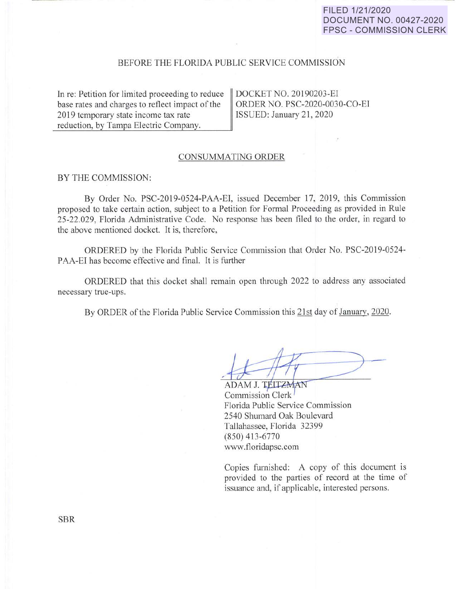# **FILED 1/21/2020 DOCUMENT NO. 00427-2020 FPSC - COMMISSION CLERK**

## BEFORE THE FLORIDA PUBLIC SERVICE COMMISSION

In re: Petition for limited proceeding to reduce base rates and charges to reflect impact of the 2019 temporary state income tax rate reduction, by Tampa Electric Company.

DOCKET NO. 20190203-EI ORDER NO. PSC-2020-0030-CO-EI ISSUED: January 21, 2020

### CONSUMMATING ORDER

### BY THE COMMISSION:

By Order No. PSC-2019-0524-PAA-EI, issued December 17, 2019, this Commission proposed to take certain action, subject to a Petition for Formal Proceeding as provided in Rule 25-22.029, Florida Administrative Code. No response has been filed to the order, in regard to the above mentioned docket. It is, therefore,

ORDERED by the Florida Public Service Commission that Order No. PSC-2019-0524- PAA-EI has become effective and final. It is further

ORDERED that this docket shall remain open through 2022 to address any associated necessary true-ups.

By ORDER of the Florida Public Service Commission this 21st day of January, 2020.

ADAM J. TEITZMAN Commission Clerk Florida Public Service Commission 2540 Shumard Oak Boulevard Tallahassee, Florida 32399 (850) 413-6770 www.floridapsc.com

Copies furnished: A copy of this document is provided to the parties of record at the time of issuance and, if applicable, interested persons.